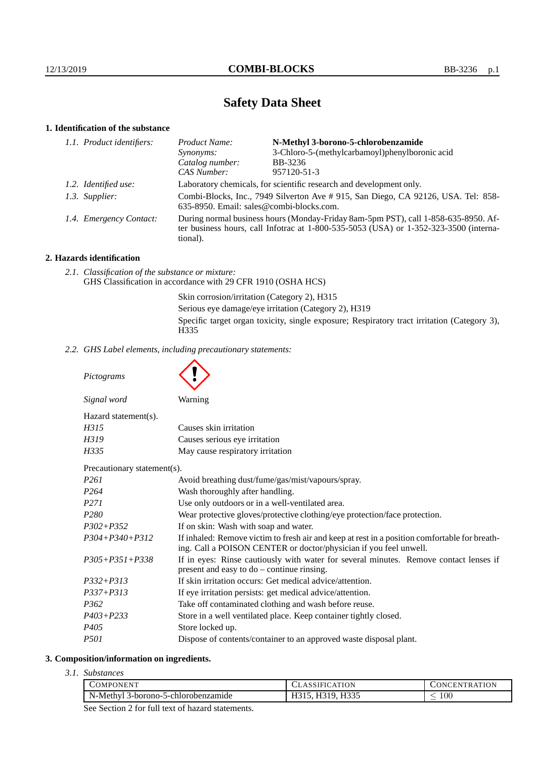# **Safety Data Sheet**

# **1. Identification of the substance**

| Product Name:                                                                                                                                                                               | N-Methyl 3-borono-5-chlorobenzamide            |
|---------------------------------------------------------------------------------------------------------------------------------------------------------------------------------------------|------------------------------------------------|
| Synonyms:                                                                                                                                                                                   | 3-Chloro-5-(methylcarbamoyl)phenylboronic acid |
| Catalog number:                                                                                                                                                                             | BB-3236                                        |
| CAS Number:                                                                                                                                                                                 | 957120-51-3                                    |
| Laboratory chemicals, for scientific research and development only.                                                                                                                         |                                                |
| Combi-Blocks, Inc., 7949 Silverton Ave # 915, San Diego, CA 92126, USA. Tel: 858-<br>635-8950. Email: sales@combi-blocks.com.                                                               |                                                |
| During normal business hours (Monday-Friday 8am-5pm PST), call 1-858-635-8950. Af-<br>ter business hours, call Infotrac at $1-800-535-5053$ (USA) or $1-352-323-3500$ (interna-<br>tional). |                                                |
| 1.1. Product identifiers:<br>1.2. Identified use:<br>1.3. Supplier:<br>1.4. Emergency Contact:                                                                                              |                                                |

# **2. Hazards identification**

*2.1. Classification of the substance or mixture:* GHS Classification in accordance with 29 CFR 1910 (OSHA HCS)

> Skin corrosion/irritation (Category 2), H315 Serious eye damage/eye irritation (Category 2), H319 Specific target organ toxicity, single exposure; Respiratory tract irritation (Category 3), H335

*2.2. GHS Label elements, including precautionary statements:*

*Pictograms*

| Signal word          | Warning                          |
|----------------------|----------------------------------|
| Hazard statement(s). |                                  |
| H315                 | Causes skin irritation           |
| H319                 | Causes serious eye irritation    |
| H335                 | May cause respiratory irritation |
|                      |                                  |

Precautionary statement(s).

| I Tecautional y statement 37. |                                                                                                                                                                    |
|-------------------------------|--------------------------------------------------------------------------------------------------------------------------------------------------------------------|
| P261                          | Avoid breathing dust/fume/gas/mist/vapours/spray.                                                                                                                  |
| P264                          | Wash thoroughly after handling.                                                                                                                                    |
| P271                          | Use only outdoors or in a well-ventilated area.                                                                                                                    |
| P280                          | Wear protective gloves/protective clothing/eye protection/face protection.                                                                                         |
| P302+P352                     | If on skin: Wash with soap and water.                                                                                                                              |
| P304+P340+P312                | If inhaled: Remove victim to fresh air and keep at rest in a position comfortable for breath-<br>ing. Call a POISON CENTER or doctor/physician if you feel unwell. |
| P305+P351+P338                | If in eyes: Rinse cautiously with water for several minutes. Remove contact lenses if<br>present and easy to $do$ – continue rinsing.                              |
| P332+P313                     | If skin irritation occurs: Get medical advice/attention.                                                                                                           |
| P337+P313                     | If eye irritation persists: get medical advice/attention.                                                                                                          |
| P362                          | Take off contaminated clothing and wash before reuse.                                                                                                              |
| P403+P233                     | Store in a well ventilated place. Keep container tightly closed.                                                                                                   |
| P405                          | Store locked up.                                                                                                                                                   |
| P501                          | Dispose of contents/container to an approved waste disposal plant.                                                                                                 |
|                               |                                                                                                                                                                    |

## **3. Composition/information on ingredients.**

*3.1. Substances*

| COMPONENT                                | <b>ATION</b><br>ASSIFIC | <b>TRATION</b><br>$\overline{N}$<br>ЕN |
|------------------------------------------|-------------------------|----------------------------------------|
| N-Methyl<br>' 3-borono-5-chlorobenzamide | H319, H335              | 100                                    |
|                                          |                         |                                        |

See Section 2 for full text of hazard statements.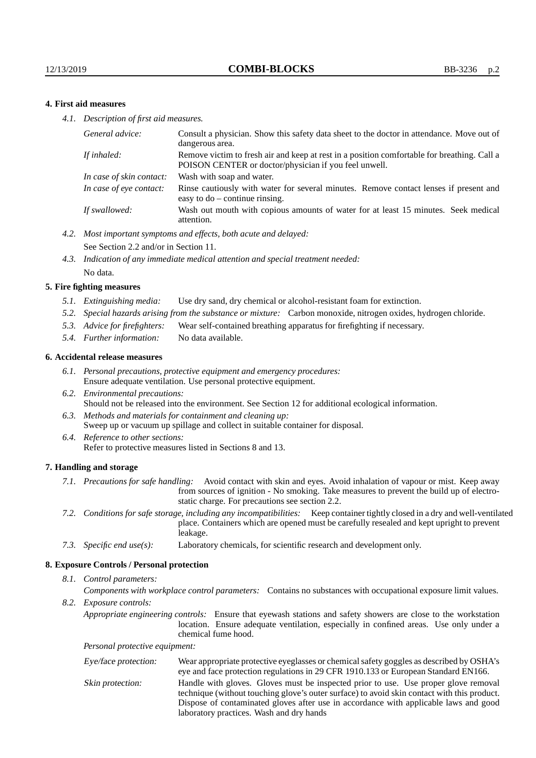## **4. First aid measures**

*4.1. Description of first aid measures.*

| Consult a physician. Show this safety data sheet to the doctor in attendance. Move out of<br>dangerous area.                                         |
|------------------------------------------------------------------------------------------------------------------------------------------------------|
| Remove victim to fresh air and keep at rest in a position comfortable for breathing. Call a<br>POISON CENTER or doctor/physician if you feel unwell. |
| Wash with soap and water.                                                                                                                            |
| Rinse cautiously with water for several minutes. Remove contact lenses if present and<br>easy to $do$ – continue rinsing.                            |
| Wash out mouth with copious amounts of water for at least 15 minutes. Seek medical<br>attention.                                                     |
|                                                                                                                                                      |

- *4.2. Most important symptoms and effects, both acute and delayed:* See Section 2.2 and/or in Section 11.
- *4.3. Indication of any immediate medical attention and special treatment needed:* No data.

#### **5. Fire fighting measures**

- *5.1. Extinguishing media:* Use dry sand, dry chemical or alcohol-resistant foam for extinction.
- *5.2. Special hazards arising from the substance or mixture:* Carbon monoxide, nitrogen oxides, hydrogen chloride.
- *5.3. Advice for firefighters:* Wear self-contained breathing apparatus for firefighting if necessary.
- *5.4. Further information:* No data available.

#### **6. Accidental release measures**

- *6.1. Personal precautions, protective equipment and emergency procedures:* Ensure adequate ventilation. Use personal protective equipment.
- *6.2. Environmental precautions:* Should not be released into the environment. See Section 12 for additional ecological information.
- *6.3. Methods and materials for containment and cleaning up:* Sweep up or vacuum up spillage and collect in suitable container for disposal.
- *6.4. Reference to other sections:* Refer to protective measures listed in Sections 8 and 13.

#### **7. Handling and storage**

- *7.1. Precautions for safe handling:* Avoid contact with skin and eyes. Avoid inhalation of vapour or mist. Keep away from sources of ignition - No smoking. Take measures to prevent the build up of electrostatic charge. For precautions see section 2.2.
- *7.2. Conditions for safe storage, including any incompatibilities:* Keep container tightly closed in a dry and well-ventilated place. Containers which are opened must be carefully resealed and kept upright to prevent leakage.
- *7.3. Specific end use(s):* Laboratory chemicals, for scientific research and development only.

#### **8. Exposure Controls / Personal protection**

*8.1. Control parameters:*

*Components with workplace control parameters:* Contains no substances with occupational exposure limit values.

*8.2. Exposure controls:*

*Appropriate engineering controls:* Ensure that eyewash stations and safety showers are close to the workstation location. Ensure adequate ventilation, especially in confined areas. Use only under a chemical fume hood.

*Personal protective equipment:*

| Eye/face protection: | Wear appropriate protective eyeglasses or chemical safety goggles as described by OSHA's<br>eye and face protection regulations in 29 CFR 1910.133 or European Standard EN166.                                                                                                                                         |
|----------------------|------------------------------------------------------------------------------------------------------------------------------------------------------------------------------------------------------------------------------------------------------------------------------------------------------------------------|
| Skin protection:     | Handle with gloves. Gloves must be inspected prior to use. Use proper glove removal<br>technique (without touching glove's outer surface) to avoid skin contact with this product.<br>Dispose of contaminated gloves after use in accordance with applicable laws and good<br>laboratory practices. Wash and dry hands |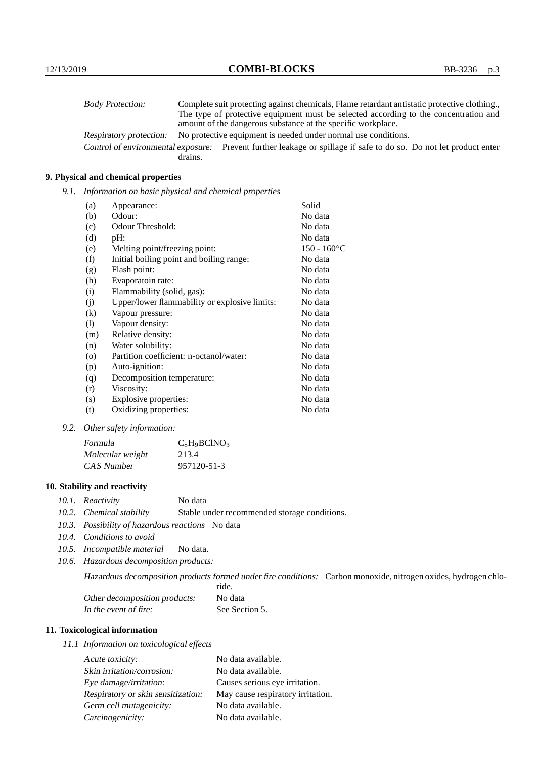| <b>Body Protection:</b> | Complete suit protecting against chemicals, Flame retardant antistatic protective clothing.                       |
|-------------------------|-------------------------------------------------------------------------------------------------------------------|
|                         | The type of protective equipment must be selected according to the concentration and                              |
|                         | amount of the dangerous substance at the specific workplace.                                                      |
| Respiratory protection: | No protective equipment is needed under normal use conditions.                                                    |
|                         | Control of environmental exposure: Prevent further leakage or spillage if safe to do so. Do not let product enter |
|                         | drains.                                                                                                           |

## **9. Physical and chemical properties**

*9.1. Information on basic physical and chemical properties*

| (a)                        | Appearance:                                   | Solid                |
|----------------------------|-----------------------------------------------|----------------------|
| (b)                        | Odour:                                        | No data              |
| (c)                        | Odour Threshold:                              | No data              |
| (d)                        | pH:                                           | No data              |
| (e)                        | Melting point/freezing point:                 | $150 - 160^{\circ}C$ |
| (f)                        | Initial boiling point and boiling range:      | No data              |
| (g)                        | Flash point:                                  | No data              |
| (h)                        | Evaporatoin rate:                             | No data              |
| (i)                        | Flammability (solid, gas):                    | No data              |
| (j)                        | Upper/lower flammability or explosive limits: | No data              |
| $\left( k\right)$          | Vapour pressure:                              | No data              |
| $\left( \mathrm{l}\right)$ | Vapour density:                               | No data              |
| (m)                        | Relative density:                             | No data              |
| (n)                        | Water solubility:                             | No data              |
| $\circ$                    | Partition coefficient: n-octanol/water:       | No data              |
| (p)                        | Auto-ignition:                                | No data              |
| (q)                        | Decomposition temperature:                    | No data              |
| (r)                        | Viscosity:                                    | No data              |
| (s)                        | Explosive properties:                         | No data              |
| (t)                        | Oxidizing properties:                         | No data              |

*9.2. Other safety information:*

| Formula          | $C_8H_9BCINO_3$ |
|------------------|-----------------|
| Molecular weight | 213.4           |
| CAS Number       | 957120-51-3     |

## **10. Stability and reactivity**

- *10.1. Reactivity* No data
- *10.2. Chemical stability* Stable under recommended storage conditions.
- *10.3. Possibility of hazardous reactions* No data
- *10.4. Conditions to avoid*
- *10.5. Incompatible material* No data.
- *10.6. Hazardous decomposition products:*

Hazardous decomposition products formed under fire conditions: Carbon monoxide, nitrogen oxides, hydrogen chlo-

|                               | ride.          |
|-------------------------------|----------------|
| Other decomposition products: | No data        |
| In the event of fire:         | See Section 5. |

# **11. Toxicological information**

*11.1 Information on toxicological effects*

| Acute toxicity:                    | No data available.                |
|------------------------------------|-----------------------------------|
| Skin irritation/corrosion:         | No data available.                |
| Eye damage/irritation:             | Causes serious eye irritation.    |
| Respiratory or skin sensitization: | May cause respiratory irritation. |
| Germ cell mutagenicity:            | No data available.                |
| Carcinogenicity:                   | No data available.                |